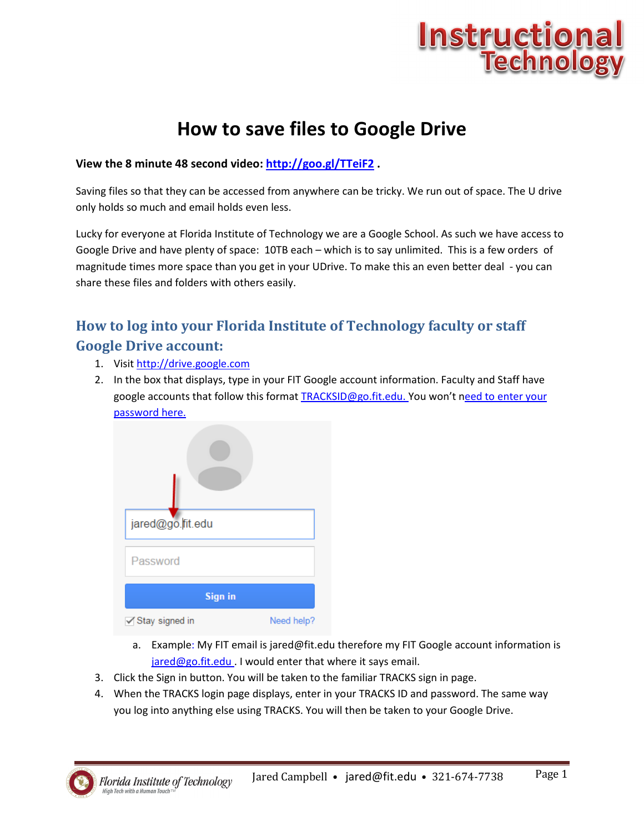

## **How to save files to Google Drive**

#### **View the 8 minute 48 second video: http://goo.gl/TTeiF2 .**

Saving files so that they can be accessed from anywhere can be tricky. We run out of space. The U drive only holds so much and email holds even less.

Lucky for everyone at Florida Institute of Technology we are a Google School. As such we have access to Google Drive and have plenty of space: 10TB each – which is to say unlimited. This is a few orders of magnitude times more space than you get in your UDrive. To make this an even better deal - you can share these files and folders with others easily.

### **How to log into your Florida Institute of Technology faculty or staff Google Drive account:**

- 1. Visit http://drive.google.com
- 2. In the box that displays, type in your FIT Google account information. Faculty and Staff have google accounts that follow this format TRACKSID@go.fit.edu. You won't need to enter your password here.



- a. Example: My FIT email is jared@fit.edu therefore my FIT Google account information is jared@go.fit.edu . I would enter that where it says email.
- 3. Click the Sign in button. You will be taken to the familiar TRACKS sign in page.
- 4. When the TRACKS login page displays, enter in your TRACKS ID and password. The same way you log into anything else using TRACKS. You will then be taken to your Google Drive.

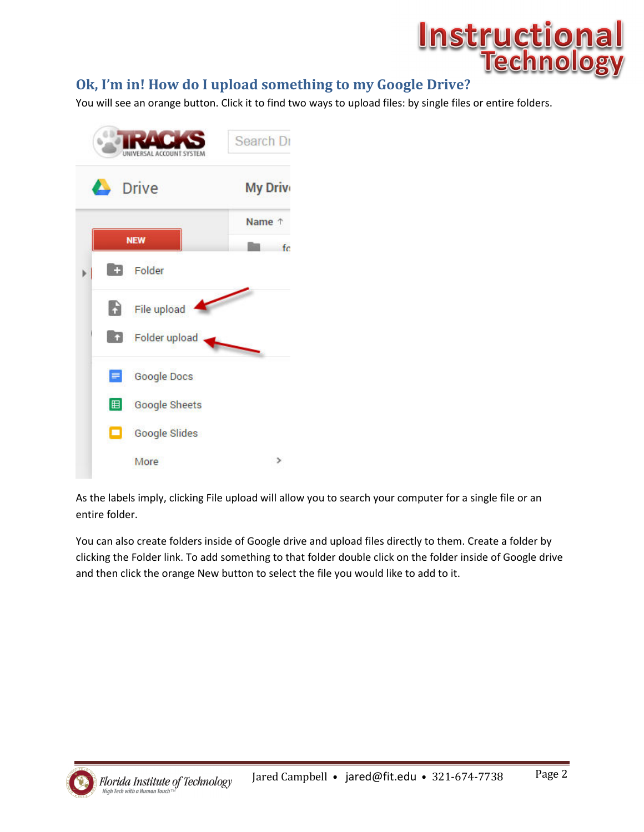

### **Ok, I'm in! How do I upload something to my Google Drive?**

You will see an orange button. Click it to find two ways to upload files: by single files or entire folders.



As the labels imply, clicking File upload will allow you to search your computer for a single file or an entire folder.

You can also create folders inside of Google drive and upload files directly to them. Create a folder by clicking the Folder link. To add something to that folder double click on the folder inside of Google drive and then click the orange New button to select the file you would like to add to it.